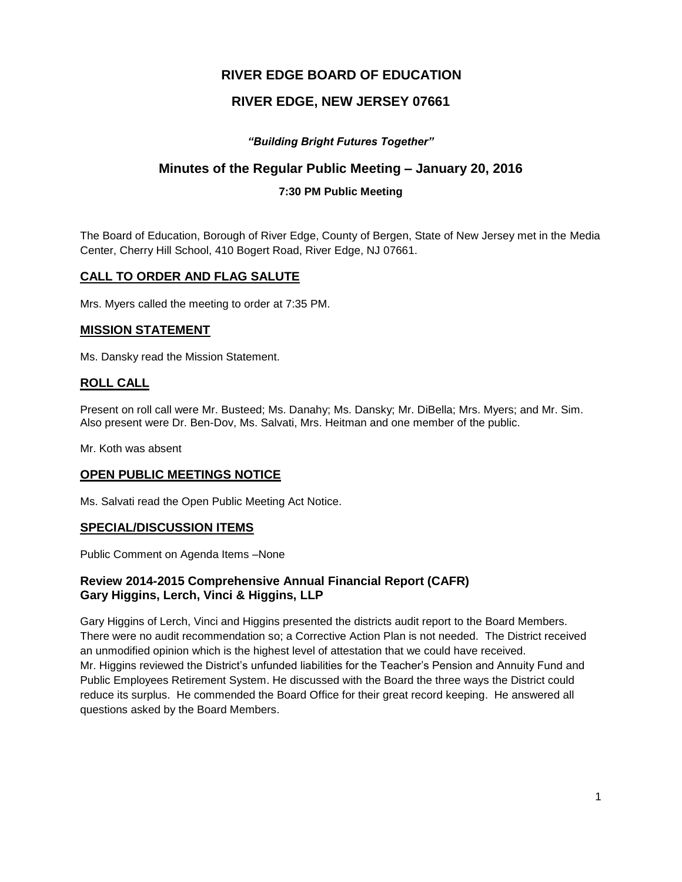# **RIVER EDGE BOARD OF EDUCATION**

# **RIVER EDGE, NEW JERSEY 07661**

# *"Building Bright Futures Together"*

# **Minutes of the Regular Public Meeting – January 20, 2016**

### **7:30 PM Public Meeting**

The Board of Education, Borough of River Edge, County of Bergen, State of New Jersey met in the Media Center, Cherry Hill School, 410 Bogert Road, River Edge, NJ 07661.

## **CALL TO ORDER AND FLAG SALUTE**

Mrs. Myers called the meeting to order at 7:35 PM.

### **MISSION STATEMENT**

Ms. Dansky read the Mission Statement.

## **ROLL CALL**

Present on roll call were Mr. Busteed; Ms. Danahy; Ms. Dansky; Mr. DiBella; Mrs. Myers; and Mr. Sim. Also present were Dr. Ben-Dov, Ms. Salvati, Mrs. Heitman and one member of the public.

Mr. Koth was absent

### **OPEN PUBLIC MEETINGS NOTICE**

Ms. Salvati read the Open Public Meeting Act Notice.

### **SPECIAL/DISCUSSION ITEMS**

Public Comment on Agenda Items –None

## **Review 2014-2015 Comprehensive Annual Financial Report (CAFR) Gary Higgins, Lerch, Vinci & Higgins, LLP**

Gary Higgins of Lerch, Vinci and Higgins presented the districts audit report to the Board Members. There were no audit recommendation so; a Corrective Action Plan is not needed. The District received an unmodified opinion which is the highest level of attestation that we could have received. Mr. Higgins reviewed the District's unfunded liabilities for the Teacher's Pension and Annuity Fund and Public Employees Retirement System. He discussed with the Board the three ways the District could reduce its surplus. He commended the Board Office for their great record keeping. He answered all questions asked by the Board Members.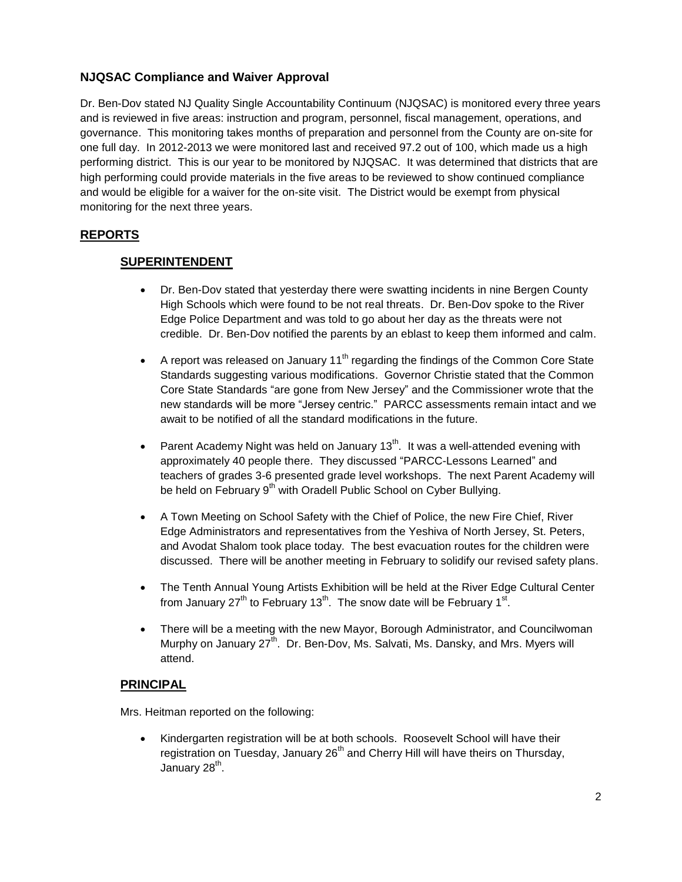# **NJQSAC Compliance and Waiver Approval**

Dr. Ben-Dov stated NJ Quality Single Accountability Continuum (NJQSAC) is monitored every three years and is reviewed in five areas: instruction and program, personnel, fiscal management, operations, and governance. This monitoring takes months of preparation and personnel from the County are on-site for one full day. In 2012-2013 we were monitored last and received 97.2 out of 100, which made us a high performing district. This is our year to be monitored by NJQSAC. It was determined that districts that are high performing could provide materials in the five areas to be reviewed to show continued compliance and would be eligible for a waiver for the on-site visit. The District would be exempt from physical monitoring for the next three years.

# **REPORTS**

## **SUPERINTENDENT**

- Dr. Ben-Dov stated that yesterday there were swatting incidents in nine Bergen County High Schools which were found to be not real threats. Dr. Ben-Dov spoke to the River Edge Police Department and was told to go about her day as the threats were not credible. Dr. Ben-Dov notified the parents by an eblast to keep them informed and calm.
- A report was released on January 11<sup>th</sup> regarding the findings of the Common Core State Standards suggesting various modifications. Governor Christie stated that the Common Core State Standards "are gone from New Jersey" and the Commissioner wrote that the new standards will be more "Jersey centric." PARCC assessments remain intact and we await to be notified of all the standard modifications in the future.
- Parent Academy Night was held on January 13<sup>th</sup>. It was a well-attended evening with approximately 40 people there. They discussed "PARCC-Lessons Learned" and teachers of grades 3-6 presented grade level workshops. The next Parent Academy will be held on February 9<sup>th</sup> with Oradell Public School on Cyber Bullying.
- A Town Meeting on School Safety with the Chief of Police, the new Fire Chief, River Edge Administrators and representatives from the Yeshiva of North Jersey, St. Peters, and Avodat Shalom took place today. The best evacuation routes for the children were discussed. There will be another meeting in February to solidify our revised safety plans.
- The Tenth Annual Young Artists Exhibition will be held at the River Edge Cultural Center from January 27<sup>th</sup> to February 13<sup>th</sup>. The snow date will be February 1<sup>st</sup>.
- There will be a meeting with the new Mayor, Borough Administrator, and Councilwoman Murphy on January  $27<sup>th</sup>$ . Dr. Ben-Dov, Ms. Salvati, Ms. Dansky, and Mrs. Myers will attend.

### **PRINCIPAL**

Mrs. Heitman reported on the following:

 Kindergarten registration will be at both schools. Roosevelt School will have their registration on Tuesday, January  $26<sup>th</sup>$  and Cherry Hill will have theirs on Thursday, January 28<sup>th</sup>.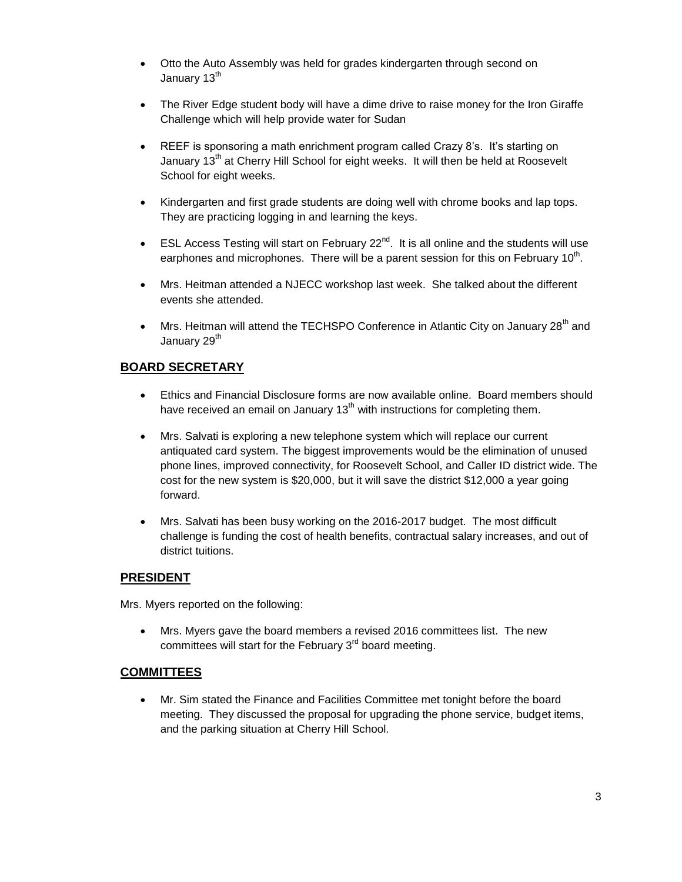- Otto the Auto Assembly was held for grades kindergarten through second on January 13<sup>th</sup>
- The River Edge student body will have a dime drive to raise money for the Iron Giraffe Challenge which will help provide water for Sudan
- REEF is sponsoring a math enrichment program called Crazy 8's. It's starting on January 13<sup>th</sup> at Cherry Hill School for eight weeks. It will then be held at Roosevelt School for eight weeks.
- Kindergarten and first grade students are doing well with chrome books and lap tops. They are practicing logging in and learning the keys.
- ESL Access Testing will start on February 22 $^{nd}$ . It is all online and the students will use earphones and microphones. There will be a parent session for this on February 10<sup>th</sup>.
- Mrs. Heitman attended a NJECC workshop last week. She talked about the different events she attended.
- Mrs. Heitman will attend the TECHSPO Conference in Atlantic City on January 28<sup>th</sup> and January 29<sup>th</sup>

# **BOARD SECRETARY**

- Ethics and Financial Disclosure forms are now available online. Board members should have received an email on January  $13<sup>th</sup>$  with instructions for completing them.
- Mrs. Salvati is exploring a new telephone system which will replace our current antiquated card system. The biggest improvements would be the elimination of unused phone lines, improved connectivity, for Roosevelt School, and Caller ID district wide. The cost for the new system is \$20,000, but it will save the district \$12,000 a year going forward.
- Mrs. Salvati has been busy working on the 2016-2017 budget. The most difficult challenge is funding the cost of health benefits, contractual salary increases, and out of district tuitions.

# **PRESIDENT**

Mrs. Myers reported on the following:

 Mrs. Myers gave the board members a revised 2016 committees list. The new committees will start for the February  $3<sup>rd</sup>$  board meeting.

### **COMMITTEES**

 Mr. Sim stated the Finance and Facilities Committee met tonight before the board meeting. They discussed the proposal for upgrading the phone service, budget items, and the parking situation at Cherry Hill School.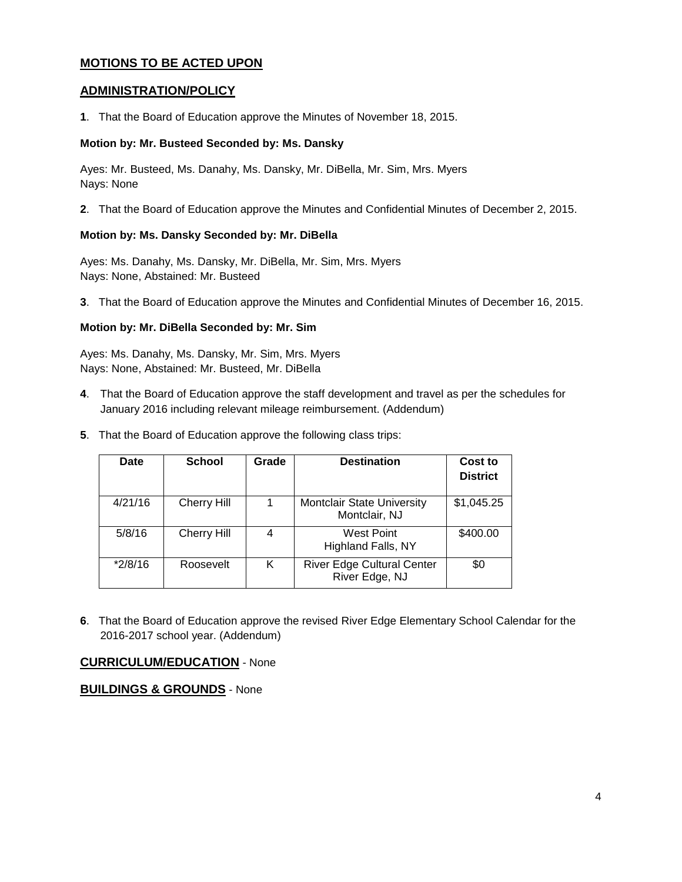# **MOTIONS TO BE ACTED UPON**

### **ADMINISTRATION/POLICY**

**1**. That the Board of Education approve the Minutes of November 18, 2015.

#### **Motion by: Mr. Busteed Seconded by: Ms. Dansky**

Ayes: Mr. Busteed, Ms. Danahy, Ms. Dansky, Mr. DiBella, Mr. Sim, Mrs. Myers Nays: None

**2**. That the Board of Education approve the Minutes and Confidential Minutes of December 2, 2015.

#### **Motion by: Ms. Dansky Seconded by: Mr. DiBella**

Ayes: Ms. Danahy, Ms. Dansky, Mr. DiBella, Mr. Sim, Mrs. Myers Nays: None, Abstained: Mr. Busteed

**3**. That the Board of Education approve the Minutes and Confidential Minutes of December 16, 2015.

#### **Motion by: Mr. DiBella Seconded by: Mr. Sim**

Ayes: Ms. Danahy, Ms. Dansky, Mr. Sim, Mrs. Myers Nays: None, Abstained: Mr. Busteed, Mr. DiBella

- **4**. That the Board of Education approve the staff development and travel as per the schedules for January 2016 including relevant mileage reimbursement. (Addendum)
- **5**. That the Board of Education approve the following class trips:

| Date      | <b>School</b>      | Grade | <b>Destination</b>                                  | Cost to<br><b>District</b> |
|-----------|--------------------|-------|-----------------------------------------------------|----------------------------|
| 4/21/16   | <b>Cherry Hill</b> |       | <b>Montclair State University</b><br>Montclair, NJ  | \$1,045.25                 |
| 5/8/16    | Cherry Hill        |       | West Point<br>Highland Falls, NY                    | \$400.00                   |
| $*2/8/16$ | Roosevelt          | Κ     | <b>River Edge Cultural Center</b><br>River Edge, NJ | \$0                        |

**6**. That the Board of Education approve the revised River Edge Elementary School Calendar for the 2016-2017 school year. (Addendum)

### **CURRICULUM/EDUCATION** - None

### **BUILDINGS & GROUNDS** - None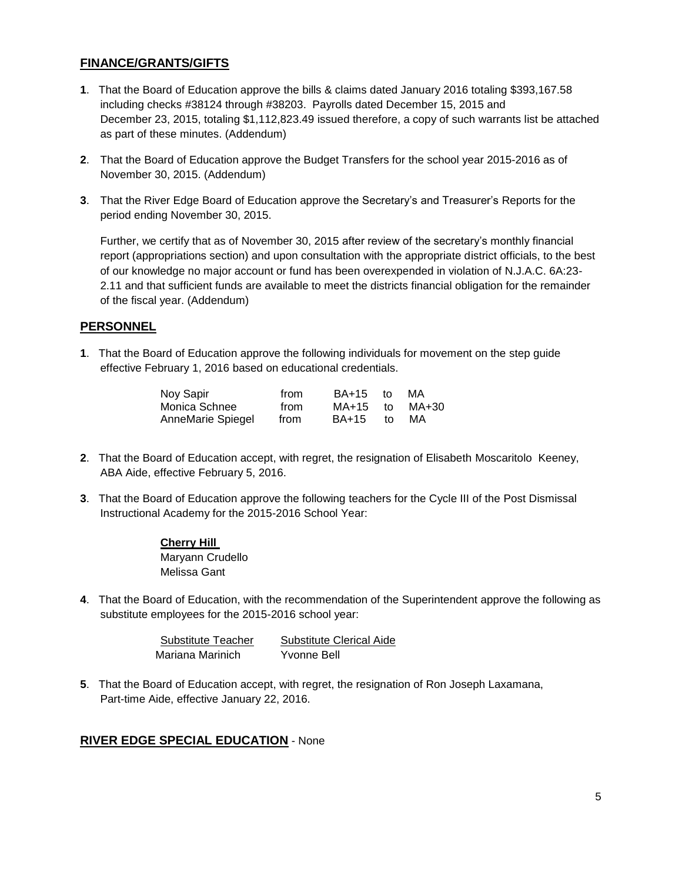# **FINANCE/GRANTS/GIFTS**

- **1**. That the Board of Education approve the bills & claims dated January 2016 totaling \$393,167.58 including checks #38124 through #38203. Payrolls dated December 15, 2015 and December 23, 2015, totaling \$1,112,823.49 issued therefore, a copy of such warrants list be attached as part of these minutes. (Addendum)
- **2**. That the Board of Education approve the Budget Transfers for the school year 2015-2016 as of November 30, 2015. (Addendum)
- **3**. That the River Edge Board of Education approve the Secretary's and Treasurer's Reports for the period ending November 30, 2015.

Further, we certify that as of November 30, 2015 after review of the secretary's monthly financial report (appropriations section) and upon consultation with the appropriate district officials, to the best of our knowledge no major account or fund has been overexpended in violation of N.J.A.C. 6A:23- 2.11 and that sufficient funds are available to meet the districts financial obligation for the remainder of the fiscal year. (Addendum)

#### **PERSONNEL**

**1**. That the Board of Education approve the following individuals for movement on the step guide effective February 1, 2016 based on educational credentials.

| Noy Sapir         | from | BA+15 | − to | MA    |
|-------------------|------|-------|------|-------|
| Monica Schnee     | from | MA+15 | t∩   | MA+30 |
| AnneMarie Spiegel | from | BA+15 | to.  | MA    |

- **2**. That the Board of Education accept, with regret, the resignation of Elisabeth Moscaritolo Keeney, ABA Aide, effective February 5, 2016.
- **3**. That the Board of Education approve the following teachers for the Cycle III of the Post Dismissal Instructional Academy for the 2015-2016 School Year:

#### **Cherry Hill**  Maryann Crudello Melissa Gant

**4**. That the Board of Education, with the recommendation of the Superintendent approve the following as substitute employees for the 2015-2016 school year:

| Substitute Teacher | Substitute Clerical Aide |
|--------------------|--------------------------|
| Mariana Marinich   | Yvonne Bell              |

**5**. That the Board of Education accept, with regret, the resignation of Ron Joseph Laxamana, Part-time Aide, effective January 22, 2016.

#### **RIVER EDGE SPECIAL EDUCATION** - None